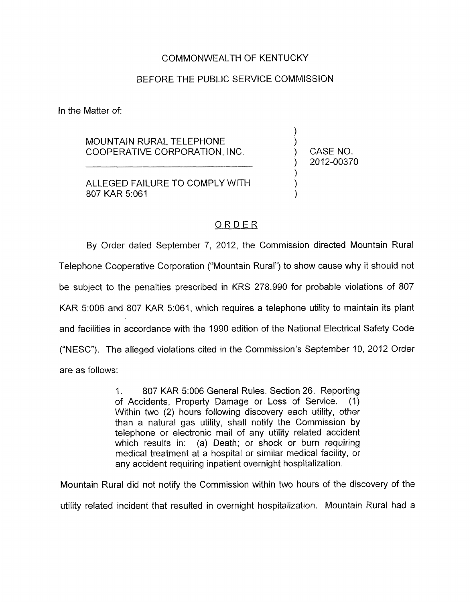## COMMONWEALTH OF KENTUCKY

## BEFORE THE PUBLIC SERVICE COMMISSION

In the Matter of:

MOUNTAIN RURAL TELEPHONE COOPERATIVE CORPORATION, INC.

) CASENO. ) 2012-00370

) )

) ) )

ALLEGED FAILURE TO COMPLY WITH 807 KAR 5:061

## ORDER

By Order dated September 7, 2012, the Commission directed Mountain Rural Telephone Cooperative Corporation ("Mountain Rural") to show cause why it should not be subject to the penalties prescribed in KRS 278.990 for probable violations of 807 KAR 5:006 and 807 KAR 5:061, which requires a telephone utility to maintain its plant and facilities in accordance with the 1990 edition of the National Electrical Safety Code ("NESC"). The alleged violations cited in the Commission's September IO, 2012 Order are as follows:

> 1. 807 KAR 5:006 General Rules. Section 26. Reporting of Accidents, Property Damage or Loss of Service. (I) Within two (2) hours following discovery each utility, other than a natural gas utility, shall notify the Commission by telephone or electronic mail of any utility related accident which results in: (a) Death; or shock or burn requiring medical treatment at a hospital or similar medical facility, or any accident requiring inpatient overnight hospitalization.

Mountain Rural did not notify the Commission within two hours of the discovery of the utility related incident that resulted in overnight hospitalization. Mountain Rural had a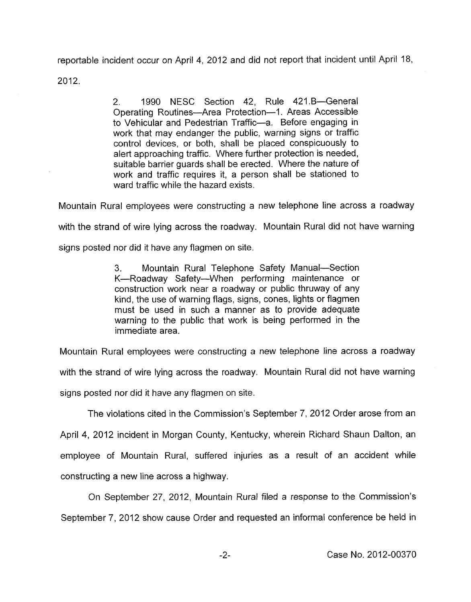reportable incident occur on April 4, 2012 and did not report that incident until April 18,

2012.

2. 1990 NESC Section 42, Rule 421.B-General Operating Routines-Area Protection-1. Areas Accessible to Vehicular and Pedestrian Traffic-a. Before engaging in work that may endanger the public, warning signs or traffic control devices, or both, shall be placed conspicuously to alert approaching traffic. Where further protection is needed, suitable barrier guards shall be erected. Where the nature of work and traffic requires it, a person shall be stationed to ward traffic while the hazard exists.

Mountain Rural employees were constructing a new telephone line across a roadway

with the strand of wire lying across the roadway. Mountain Rural did not have warning

signs posted nor did it have any flagmen on site.

3. Mountain Rural Telephone Safety Manual-Section K-Roadway Safety-When performing maintenance or construction work near a roadway or public thruway of any kind, the use of warning flags, signs, cones, lights or flagmen must be used in such a manner as to provide adequate warning to the public that work is being performed in the immediate area.

Mountain Rural employees were constructing a new telephone line across a roadway with the strand of wire lying across the roadway. Mountain Rural did not have warning

signs posted nor did it have any flagmen on site.

The violations cited in the Commission's September 7, 2012 Order arose from an

April **4,** 2012 incident in Morgan County, Kentucky, wherein Richard Shaun Dalton, an employee of Mountain Rural, suffered injuries as a result of an accident while constructing a new line across a highway.

On September 27, 2012, Mountain Rural filed a response to the Commission's September 7, 2012 show cause Order and requested an informal conference be held in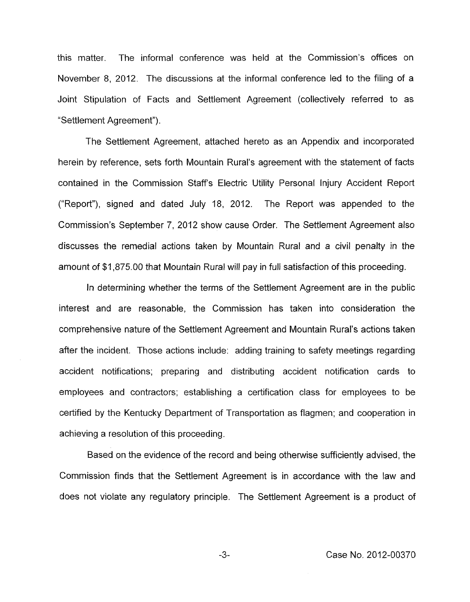this matter. The informal conference was held at the Commission's offices on November 8, 2012. The discussions at the informal conference led to the filing of a Joint Stipulation of Facts and Settlement Agreement (collectively referred to as "Settlement Agreement").

The Settlement Agreement, attached hereto as an Appendix and incorporated herein by reference, sets forth Mountain Rural's agreement with the statement of facts contained in the Commission Staffs Electric Utility Personal Injury Accident Report ("Report"), signed and dated July 18, 2012. The Report was appended to the Commission's September 7, 2012 show cause Order. The Settlement Agreement also discusses the remedial actions taken **by** Mountain Rural and a civil penalty in the amount of \$1,875.00 that Mountain Rural will pay in full satisfaction of this proceeding.

In determining whether the terms of the settlement Agreement are in the public interest and are reasonable, the Commission has taken into consideration the comprehensive nature of the Settlement Agreement and Mountain Rural's actions taken after the incident. Those actions include: adding training to safety meetings regarding accident notifications; preparing and distributing accident notification cards to employees and contractors; establishing a certification class for employees to be certified by the Kentucky Department of Transportation as flagmen; and cooperation in achieving a resolution of this proceeding.

Based on the evidence of the record and being otherwise sufficiently advised, the Commission finds that the Settlement Agreement is in accordance with the law and does not violate any regulatory principle. The Settlement Agreement is a product of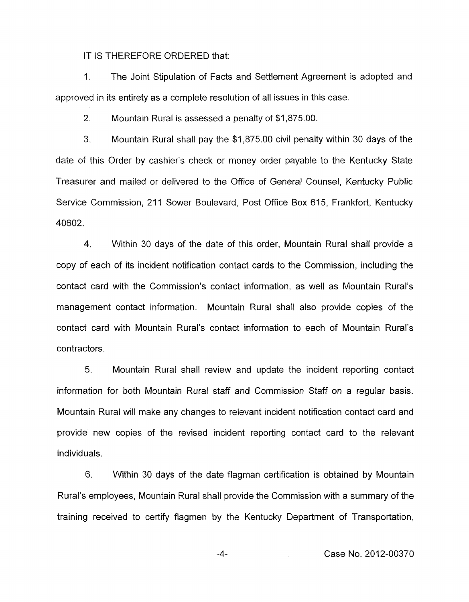IT IS THEREFORE ORDERED that:

1. The Joint Stipulation of Facts and Settlement Agreement is adopted and approved in its entirety as a complete resolution of all issues in this case.

2. Mountain Rural is assessed a penalty of \$1,875.00.

3. Mountain Rural shall pay the \$1,875.00 civil penalty within 30 days of the date of this Order by cashier's check or money order payable to the Kentucky State Treasurer and mailed or delivered to the Office of General Counsel, Kentucky Public Service Commission, 211 Sower Boulevard, Post Office Box 615, Frankfort, Kentucky 40602.

**4.** Within 30 days of the date of this order, Mountain Rural shall provide a copy of each of its incident notification contact cards to the Commission, including the contact card with the Commission's contact information, as well as Mountain Rural's management contact information. Mountain Rural shall also provide copies of the contact card with Mountain Rural's contact information to each of Mountain Rural's contractors.

5. Mountain Rural shall review and update the incident reporting contact information for both Mountain Rural staff and Commission Staff on a regular basis. Mountain Rural will make any changes to relevant incident notification contact card and provide new copies of the revised incident reporting contact card to the relevant individuals.

6. Within 30 days of the date flagman certification is obtained by Mountain Rural's employees, Mountain Rural shall provide the Commission with a summary of the training received to certify flagmen by the Kentucky Department of Transportation,

**.-4-** Case No. 2012-00370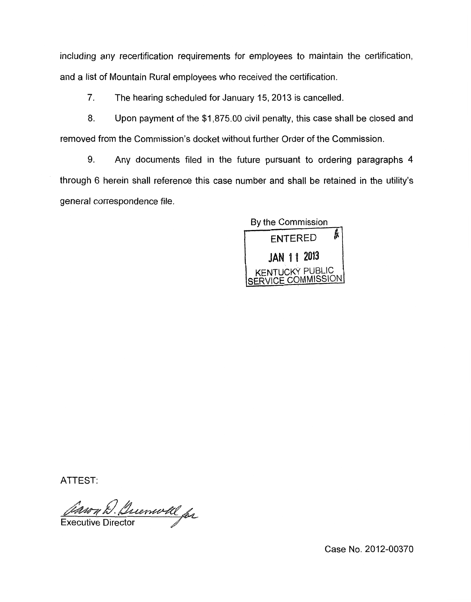including any recertification requirements for employees to maintain the certification, and a list of Mountain Rural employees who received the certification.

7. The hearing scheduled for January 15,2013 is cancelled.

8. Upon payment of the \$1,875.00 civil penalty, this case shall be closed and removed from the Commission's docket without further Order of the Commission.

9. Any documents filed in the future pursuant to ordering paragraphs **4**  through 6 herein shall reference this case number and shall be retained in the utility's general correspondence file.

> By the Commission **ENTERED** JAN 11 2013 KENTUCKY PUBLIC SERVICE COMMISSION

ATTEST:

*Corson D. Duemoll for* 

Case No. 2012-00370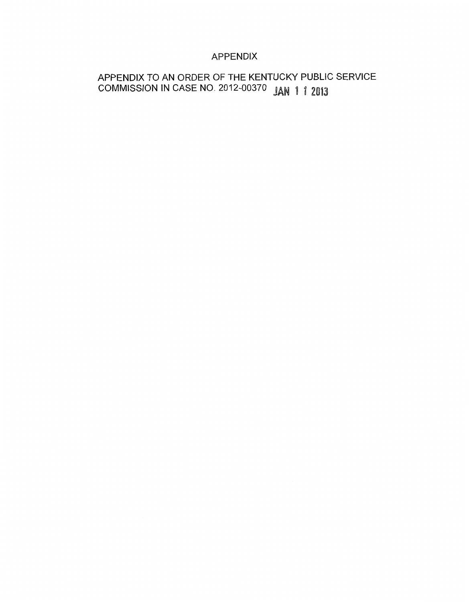# APPENDIX

# APPENDIX TO AN ORDER OF THE KENTUCKY PUBLIC SERVICE COMMISSION IN CASE NO. 2012-00370 **JAN 1 1 2013**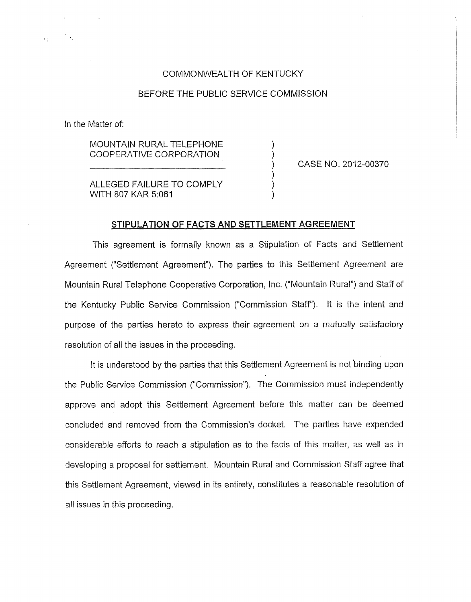#### COMMONWEALTH OF KENTUCKY

#### BEFORE THE PUBLIC SERVICE COMMISSION

in the Matter of:

MOUNTAIN RURAL TELEPHONE COOPERATIVE CORPORATION ) - )

CASE NO. 2012-00370

ALLEGED FAILURE TO COMPLY WITH 807 KAR 5:061

#### **STIPULATION OF FACTS AND SETTLEMENT AGREEMENT**

 $\mathcal{V}$ 

This agreement is formally known as a Stipulation of Facts and Settlement Agreement ("Settlement Agreement"). The parties to this Settlement Agreement are Mountain Rural Telephone Cooperative Corporation, Inc. ("Mountain Rural") and Staff of the Kentucky Public Service Commission ("Commission Staff'). It is the intent and purpose of the parties hereto to express their agreement on a mutually satisfactory resolution of all the issues in the proceeding.

It is understood by the parties that this Settlement Agreement is not 'binding upon the Public Service Commission ("Commission"). The Commission must independently approve and adopt this Settlement Agreement before this matter can be deemed concluded and removed from the Commission's docket. The parties have expended considerable efforts to reach a stipulation as to the facts of this matter, as well as in developing a proposal for settlement. Mountain Rural and Commission Staff agree that this Settlement Agreement, viewed in its entirety, constitutes a reasonable resolution of all issues in this proceeding.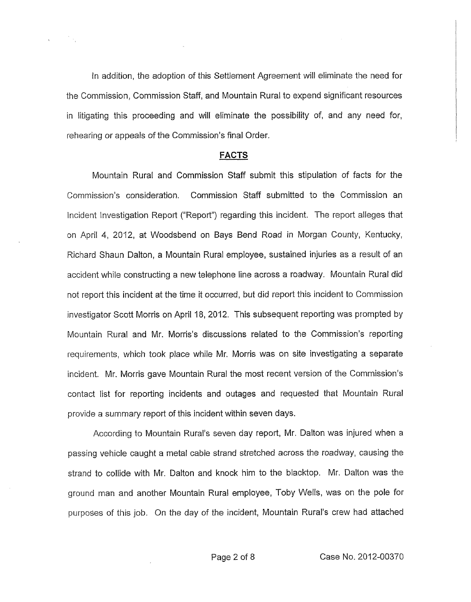In addition, the adoption of this Settlement Agreement will eliminate the need for the Commission, Commission Staff , and Mountain Rural to expend significant resources in litigating this proceeding and will eliminate the possibility of, and any need for, rehearing or appeals *of* the Commission's final Order.

#### **FACTS**

Mountain Rural and Commission Staff submit this stipulation of facts for the Commission's consideration. Commission Staff submitted to the Commission an Incident Investigation Report ("Report") regarding this incident. The report alleges that on April 4, 2012, at Woodsbend on Bays Bend Road in Morgan County, Kentucky, Richard Shaun Dalton, a Mountain Rural employee, sustained injuries as a result of an accident while constructing a new telephone line across a roadway. Mountain Rural did not report this incident at the time it occurred, but did report this incident to Commission investigator Scott Morris on April 18, 2012. This subsequent reporting was prompted by Mountain Rural and Mr. Morris's discussions related to the Commission's reporting requirements, which took place while Mr. Morris was on site investigating a separate incident. Mr. Morris gave Mountain Rural the most recent version of the Commission's contact list for reporting incidents and outages and requested that Mountain Rural provide a summary report of this incident within seven days.

According to Mountain Rural's seven day report, Mr. Dalton was injured when a passing vehicle caught a metal cable strand stretched across the roadway, causing the strand to collide with Mr. Dalton and knock him to the blacktop. Mr. Dalton was the ground man and another Mountain Rural employee, Toby Wells, was on the pole for purposes of this job. On the day of the incident, Mountain Rural's crew had attached

Page 2 of 8 Case No. 2012-00370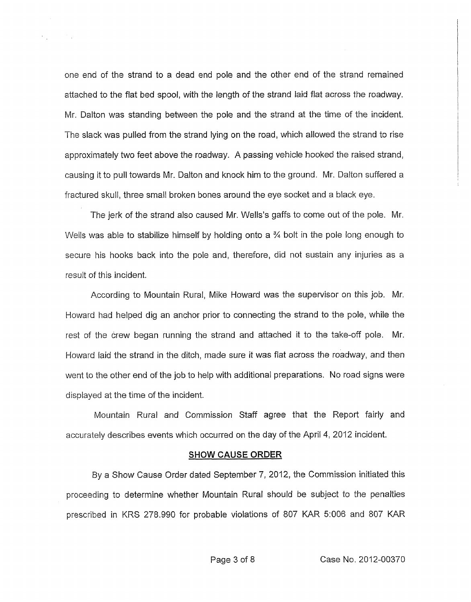one end of the strand to a dead end pole and the other end of the strand remained attached to the flat bed spool, with the length of the strand laid flat across the roadway. Mr. Dalton was standing between the pole and the strand at the time of the incident. The slack was pulled from the strand lying on the road, which allowed the strand to rise approximately two feet above the roadway. A passing vehicle hooked the raised strand, causing it to pull towards Mr. Dalton and knock him to the ground. Mr. Dalton suffered a fractured skull, three small broken bones around the eye socket and a black eye.

The jerk of the strand also caused Mr. Wells's gaffs to come out of the pole. Mr. Wells was able to stabilize himself by holding onto a <sup>3</sup>/4 bolt in the pole long enough to secure his hooks back into the pole and, therefore, did not sustain any injuries as a result of this incident.

According to Mountain Rural, Mike Howard was the supervisor on this job. Mr. Howard had helped dig an anchor prior to connecting the strand to the pole, while the rest of the crew began running the strand and attached it to the take-off pole. Mr. Howard laid the strand in the ditch, made sure it was flat across the roadway, and then went to the other end of the job to help with additional preparations. No road signs were displayed at the time of the incident.

Mountain Rural and Commission Staff agree that the Report fairly and accurately describes events which occurred on the day of the April 4, 2012 incident.

#### **SHOW CAUSE ORDER**

By a Show Cause Order dated September 7, 2012, the Commission initiated this proceeding to determine whether Mountain Rural should be subject to the penalties prescribed in KRS 278.990 for probable violations of 807 KAR 5:006 and 807 KAR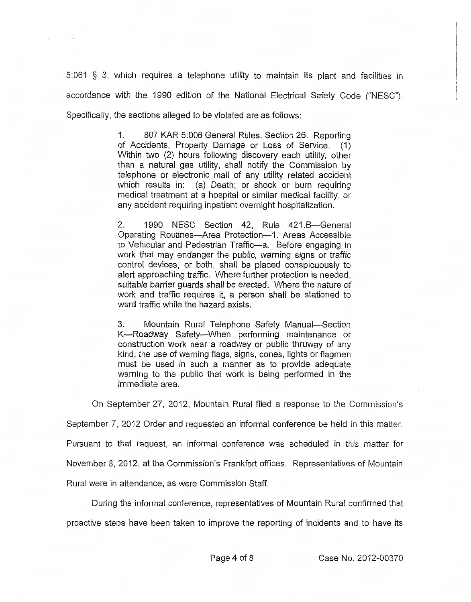5:061 § 3, which requires a telephone utility to maintain its plant and facilities in accordance with the 1990 edition of the National Electrical Safety Code ("NESC"). Specifically, the sections alleged to be violated are as follows:

> 1. 807 KAR 5:006 General Rules. Section 26. Reporting of Accidents, Property Damage or Loss of Service. (1) Within two (2) hours following discovery each utility, other than a natural gas utility, shall notify the Commission by telephone or electronic mail of any utility related accident which results in: (a) Death; or shock or burn requiring medical treatment at a hospital or similar medical facility, or any accident requiring inpatient overnight hospitalization.

> 2. 1990 NESC Section 42, Rule 421.B-General Operating Routines-Area Protection-1. Areas Accessible to Vehicular and Pedestrian Traffic-a. Before engaging in work that may endanger the public, warning signs or traffic control devices, or both, shall be placed conspicuously to alert approaching traffic. Where further protection is needed, suitable barrier guards shall be erected. Where the nature of work and traffic requires it, a person shall be stationed to ward traffic while the hazard exists.

> 3. Mountain Rural Telephone Safety Manual-Section K-Roadway Safety-When performing maintenance or construction work near a roadway or public thruway of any kind, the use of warning flags, signs, cones, lights or flagmen must be used in such a manner as to provide adequate warning to the public that work is being performed in the immediate area.

On September 27, 2012, Mountain Rural filed a response to the Commission's

September 7, 2012 Order and requested an informal conference be held in this matter.

Pursuant to that request, an informal conference was scheduled in this matter for

November 8, 2012, at the Commission's Frankfort offices. Representatives of Mountain

Rural were in attendance, as were Commission Staff.

During the informal conference, representatives of Mountain Rural confirmed that proactive steps have been taken to improve the reporting of incidents and to have its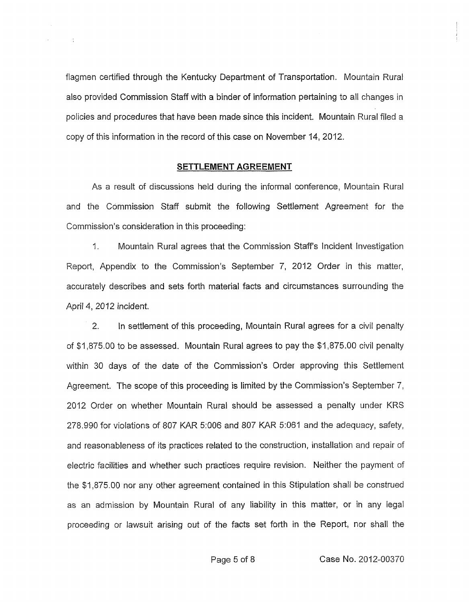flagmen certified through the Kentucky Department of Transportation. Mountain Rural also provided Commission Staff with a binder of information pertaining to all changes in policies and procedures that have been made since this incident. Mountain Rural filed a copy of this information in the record of this case on November 14, 2012.

 $\sim 10$ 

### **SETTLEMENT AGREEMENT**

As a result of discussions held during the informal conference, Mountain Rural and the Commission Staff submit the following Settlement Agreement for the Commission's consideration in this proceeding:

1. Mountain Rural agrees that the Commission Staff's Incident Investigation Report, Appendix to the Commission's September 7, 2012 Order in this matter, accurately describes and sets forth material facts and circumstances surrounding the April **4,** 2012 incident.

*2.* In settlement of this proceeding, Mountain Rural agrees for a civil penalty of \$1,875.00 to be assessed. Mountain Rural agrees to pay the \$1,875.00 civil penalty within 30 days of the date of the Commission's Order approving this Settlement Agreement. The scope of this proceeding is limited by the Commission's September 7, 2012 Order on whether Mountain Rural should be assessed a penalty under KRS 278.990 for violations of 807 KAR 5:006 and 807 KAR 51061 and the adequacy, safety, and reasonableness of its practices related to the construction, installation and repair of electric facilities and whether such practices require revision. Neither the payment of the \$1,875.00 nor any other agreement contained in this Stipulation shall be construed as an admission by Mountain Rural of any liability in this matter, or in any legal proceeding or lawsuit arising out of the facts set forth in the Report, nor shall the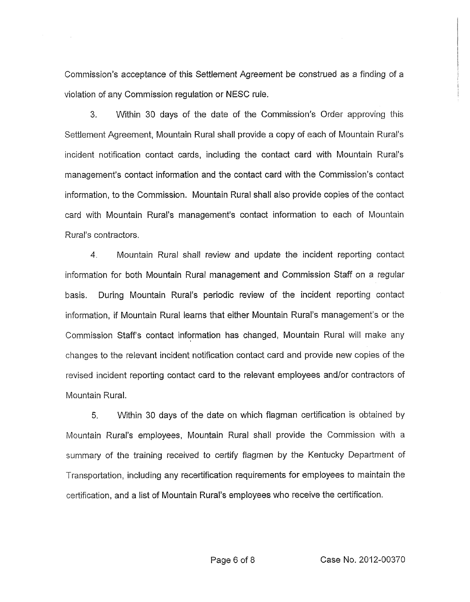Commission's acceptance of this Settlement Agreement be construed as a finding of a violation of any Commission regulation or NESC rule.

*3.* Within 30 days of the date of the Commission's Order approving this Settlement Agreement, Mountain Rural shall provide a copy of each of Mountain Rural's incident notification contact cards, including the contact card with Mountain Rural's management's contact information and the contact card with the Commission's contact information, to the Commission. Mountain Rural shall also provide copies of the contact card with Mountain Rural's management's contact information to each of Mountain Rural's contractors.

4. Mountain Rural shall review and update the incident reporting contact information for both Mountain Rural management and Commission Staff on a regular basis. During Mountain Rural's periodic review of the incident reporting contact information, if Mountain Rural learns that either Mountain Rural's management's or the Commission Staff's contact information has changed, Mountain Rural will make any changes to the relevant incident notification contact card and provide new copies of the revised incident reporting contact card to the relevant employees and/or contractors of Mountain Rural.

5. Within 30 days of the date on which flagman certification is obtained by Mountain Rural's employees, Mountain Rural shall provide the Commission with a summary of the training received to certify flagmen by the Kentucky Department of Transportation, including any recertification requirements for employees to maintain the certification, and a list of Mountain Rural's employees who receive the certification.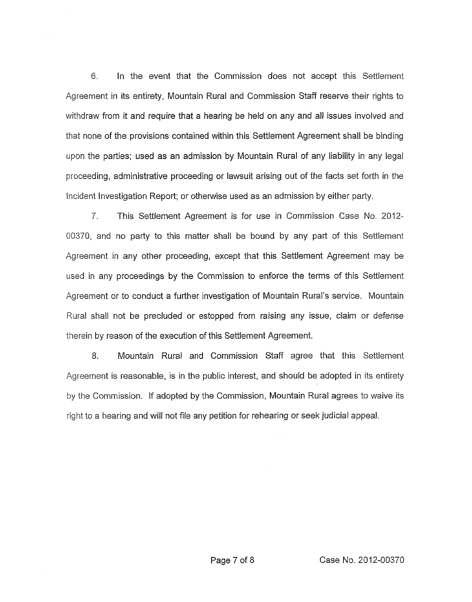6. In the event that the Commission does not accept this Settlement Agreement in its entirety, Mountain Rural and Commission Staff reserve their rights to withdraw from it and require that a hearing be held on any and all issues involved and that none of the provisions contained within this Settlement Agreement shall be binding upon the parties; used as an admission by Mountain Rural of any liability in any legal proceeding, administrative proceeding or lawsuit arising out of the facts set forth in the Incident Investigation Report; or otherwise used as an admission by either party.

*7.* This Settlement Agreement is for use in Cornmission Case No. 2012- 00370, and no party to this matter shall be bound by any part of this Settlement Agreement in any other proceeding, except that this Settlement Agreement may be used in any proceedings by the Commission to enforce the terms of this Settlement Agreement or to conduct a further investigation of Mountain Rural's service. Mountain Rural shall not be precluded or estopped from raising any issue, claim or defense therein by reason of the execution of this Settlement Agreement.

8. Mountain Rural and Commission Staff agree that this Settlement Agreement is reasonable, is in the public interest, and should be adopted in its entirety by the Commission. If adopted by the Commission, Mountain Rural agrees to waive its right to a hearing and will not file any petition for rehearing or seek judicial appeal.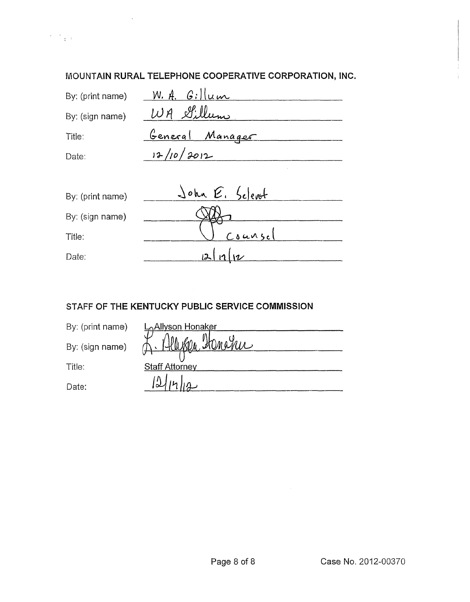# **MOUNTAIN RURAL TELEPHONE COOPERATIVE CORPORATION, INC.**

| By: (print name) | $W.$ A. Gillum         |
|------------------|------------------------|
| By: (sign name)  | WA Sillum              |
| Title:           | <u>General Manager</u> |
| Date:            | 12/10/2012             |

| By: (print name) | John E. Seleret |
|------------------|-----------------|
| By: (sign name)  |                 |
| Title:           | $C_8$ unsel     |
| Date:            | 2               |

# STAFF OF **THE KENTUCKY PUBLIC SERVICE COMMISSION**

| By: (print name) | <b>L</b> <sub>o</sub> Allyson Honaker |
|------------------|---------------------------------------|
| By: (sign name)  | <u> Honapu</u>                        |
| Title:           | <b>Staff Attorney</b>                 |
| Date:            |                                       |